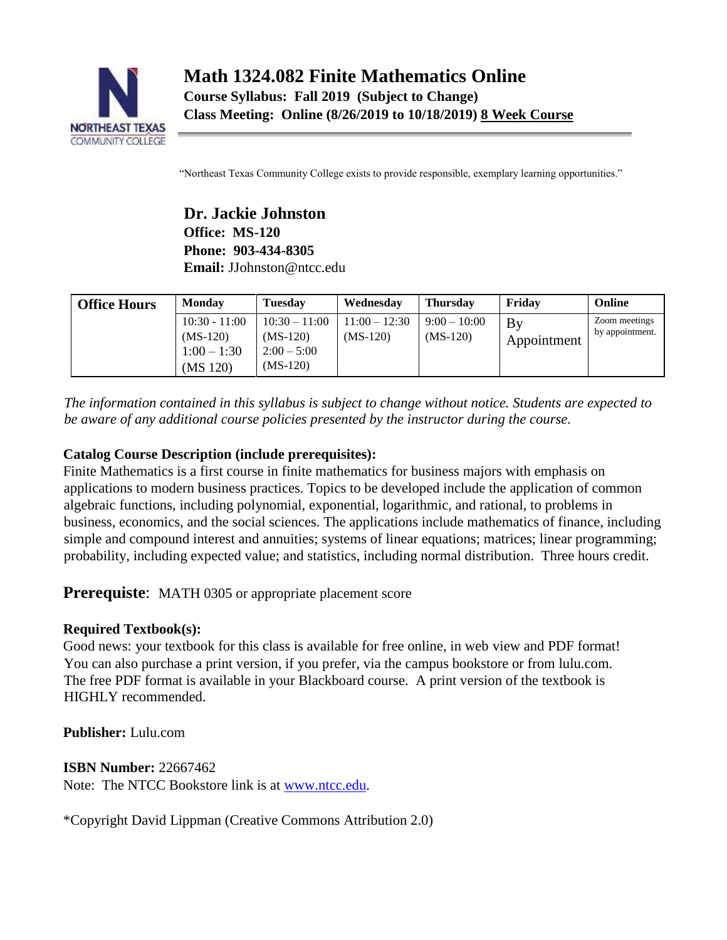

"Northeast Texas Community College exists to provide responsible, exemplary learning opportunities."

**Dr. Jackie Johnston Office: MS-120 Phone: 903-434-8305 Email:** JJohnston@ntcc.edu

| <b>Office Hours</b> | <b>Monday</b>                                              | <b>Tuesday</b>                                               | Wednesday                     | <b>Thursday</b>              | Fridav            | Online                           |
|---------------------|------------------------------------------------------------|--------------------------------------------------------------|-------------------------------|------------------------------|-------------------|----------------------------------|
|                     | $10:30 - 11:00$<br>$(MS-120)$<br>$1:00 - 1:30$<br>(MS 120) | $10:30 - 11:00$<br>$(MS-120)$<br>$2:00 - 5:00$<br>$(MS-120)$ | $11:00 - 12:30$<br>$(MS-120)$ | $9:00 - 10:00$<br>$(MS-120)$ | By<br>Appointment | Zoom meetings<br>by appointment. |

*The information contained in this syllabus is subject to change without notice. Students are expected to be aware of any additional course policies presented by the instructor during the course.* 

# **Catalog Course Description (include prerequisites):**

Finite Mathematics is a first course in finite mathematics for business majors with emphasis on applications to modern business practices. Topics to be developed include the application of common algebraic functions, including polynomial, exponential, logarithmic, and rational, to problems in business, economics, and the social sciences. The applications include mathematics of finance, including simple and compound interest and annuities; systems of linear equations; matrices; linear programming; probability, including expected value; and statistics, including normal distribution. Three hours credit.

# **Prerequiste:** MATH 0305 or appropriate placement score

## **Required Textbook(s):**

Good news: your textbook for this class is available for free online, in web view and PDF format! You can also purchase a print version, if you prefer, via the campus bookstore or from lulu.com. The free PDF format is available in your Blackboard course. A print version of the textbook is HIGHLY recommended.

**Publisher:** Lulu.com

**ISBN Number:** 22667462 Note: The NTCC Bookstore link is at [www.ntcc.edu.](http://www.ntcc.edu/)

\*Copyright David Lippman (Creative Commons Attribution 2.0)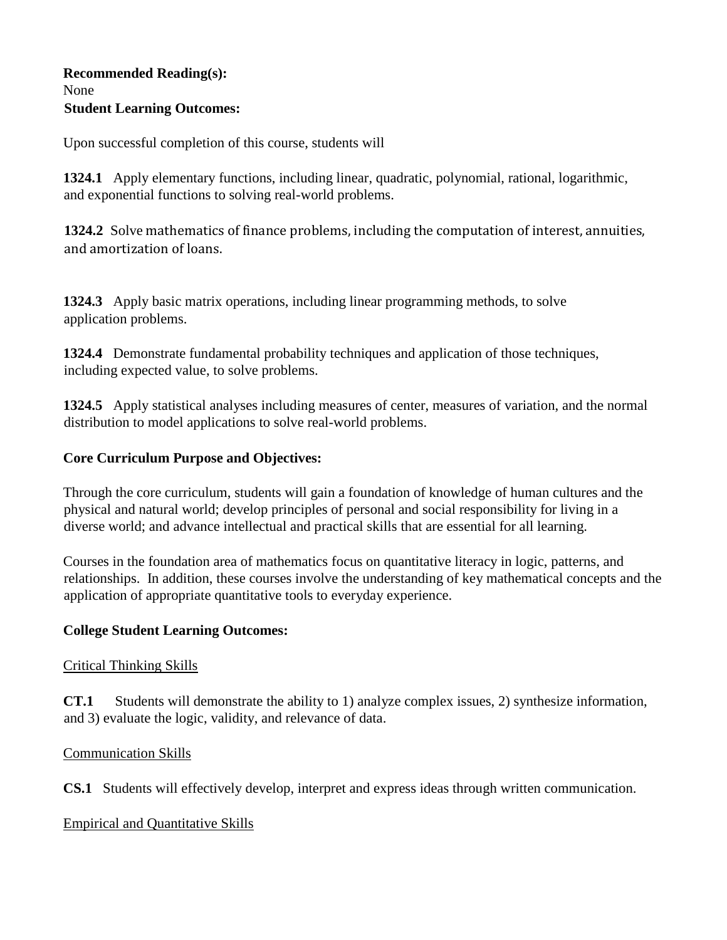## **Recommended Reading(s):**  None **Student Learning Outcomes:**

Upon successful completion of this course, students will

**1324.1** Apply elementary functions, including linear, quadratic, polynomial, rational, logarithmic, and exponential functions to solving real-world problems.

**1324.2** Solve mathematics of finance problems, including the computation of interest, annuities, and amortization of loans.

**1324.3** Apply basic matrix operations, including linear programming methods, to solve application problems.

**1324.4** Demonstrate fundamental probability techniques and application of those techniques, including expected value, to solve problems.

**1324.5** Apply statistical analyses including measures of center, measures of variation, and the normal distribution to model applications to solve real-world problems.

## **Core Curriculum Purpose and Objectives:**

Through the core curriculum, students will gain a foundation of knowledge of human cultures and the physical and natural world; develop principles of personal and social responsibility for living in a diverse world; and advance intellectual and practical skills that are essential for all learning.

Courses in the foundation area of mathematics focus on quantitative literacy in logic, patterns, and relationships. In addition, these courses involve the understanding of key mathematical concepts and the application of appropriate quantitative tools to everyday experience.

## **College Student Learning Outcomes:**

## Critical Thinking Skills

**CT.1** Students will demonstrate the ability to 1) analyze complex issues, 2) synthesize information, and 3) evaluate the logic, validity, and relevance of data.

## Communication Skills

**CS.1** Students will effectively develop, interpret and express ideas through written communication.

## Empirical and Quantitative Skills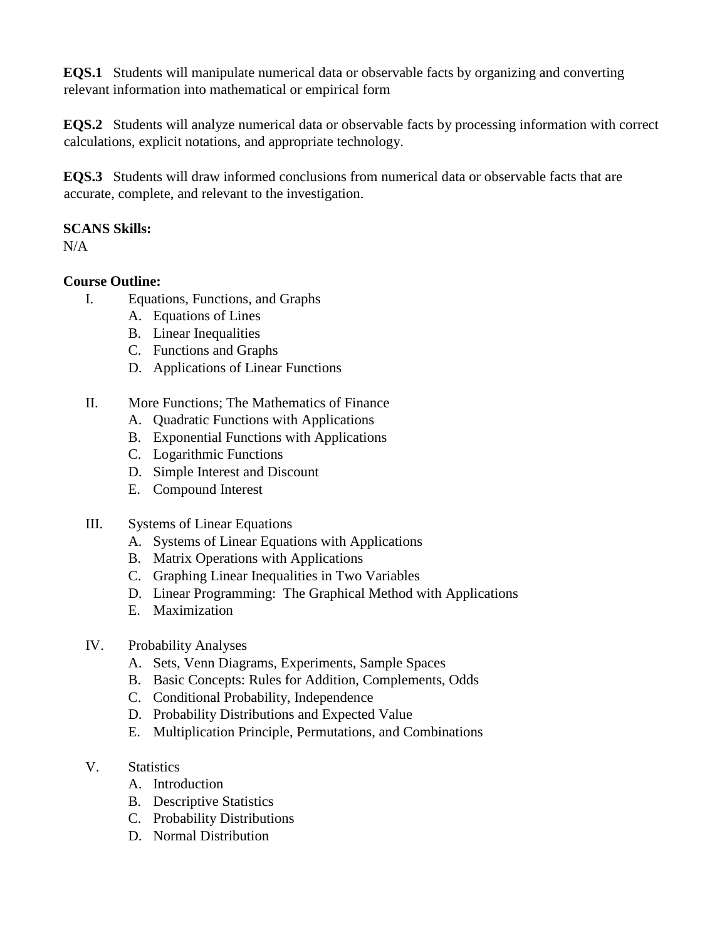**EQS.1** Students will manipulate numerical data or observable facts by organizing and converting relevant information into mathematical or empirical form

**EQS.2** Students will analyze numerical data or observable facts by processing information with correct calculations, explicit notations, and appropriate technology.

**EQS.3** Students will draw informed conclusions from numerical data or observable facts that are accurate, complete, and relevant to the investigation.

## **SCANS Skills:**

N/A

## **Course Outline:**

- I. Equations, Functions, and Graphs
	- A. Equations of Lines
	- B. Linear Inequalities
	- C. Functions and Graphs
	- D. Applications of Linear Functions
- II. More Functions; The Mathematics of Finance
	- A. Quadratic Functions with Applications
	- B. Exponential Functions with Applications
	- C. Logarithmic Functions
	- D. Simple Interest and Discount
	- E. Compound Interest

## III. Systems of Linear Equations

- A. Systems of Linear Equations with Applications
- B. Matrix Operations with Applications
- C. Graphing Linear Inequalities in Two Variables
- D. Linear Programming: The Graphical Method with Applications
- E. Maximization

## IV. Probability Analyses

- A. Sets, Venn Diagrams, Experiments, Sample Spaces
- B. Basic Concepts: Rules for Addition, Complements, Odds
- C. Conditional Probability, Independence
- D. Probability Distributions and Expected Value
- E. Multiplication Principle, Permutations, and Combinations

# V. Statistics

- A. Introduction
- B. Descriptive Statistics
- C. Probability Distributions
- D. Normal Distribution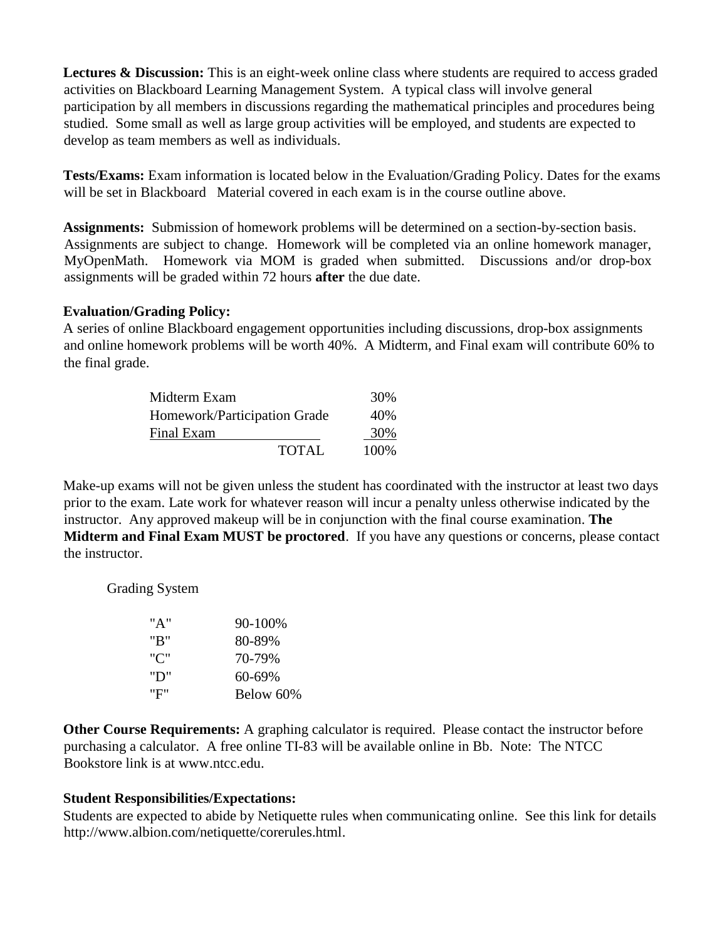**Lectures & Discussion:** This is an eight-week online class where students are required to access graded activities on Blackboard Learning Management System. A typical class will involve general participation by all members in discussions regarding the mathematical principles and procedures being studied. Some small as well as large group activities will be employed, and students are expected to develop as team members as well as individuals.

**Tests/Exams:** Exam information is located below in the Evaluation/Grading Policy. Dates for the exams will be set in Blackboard Material covered in each exam is in the course outline above.

**Assignments:** Submission of homework problems will be determined on a section-by-section basis. Assignments are subject to change. Homework will be completed via an online homework manager, MyOpenMath. Homework via MOM is graded when submitted. Discussions and/or drop-box assignments will be graded within 72 hours **after** the due date.

#### **Evaluation/Grading Policy:**

A series of online Blackboard engagement opportunities including discussions, drop-box assignments and online homework problems will be worth 40%. A Midterm, and Final exam will contribute 60% to the final grade.

| Midterm Exam                 | 30%          |       |
|------------------------------|--------------|-------|
| Homework/Participation Grade | 40%          |       |
| Final Exam                   |              | 30%   |
|                              | <b>TOTAL</b> | 100\% |

Make-up exams will not be given unless the student has coordinated with the instructor at least two days prior to the exam. Late work for whatever reason will incur a penalty unless otherwise indicated by the instructor. Any approved makeup will be in conjunction with the final course examination. **The Midterm and Final Exam MUST be proctored**. If you have any questions or concerns, please contact the instructor.

Grading System

| "A" | 90-100%   |
|-----|-----------|
| "R" | 80-89%    |
| "C" | 70-79%    |
| "D" | 60-69%    |
| "F" | Below 60% |

**Other Course Requirements:** A graphing calculator is required. Please contact the instructor before purchasing a calculator. A free online TI-83 will be available online in Bb. Note: The NTCC Bookstore link is [at www.ntcc.edu.](http://www.ntcc.edu/)

## **Student Responsibilities/Expectations:**

Students are expected to abide by Netiquette rules when communicating online. See this link for details http://www.albion.com/netiquette/corerules.html.